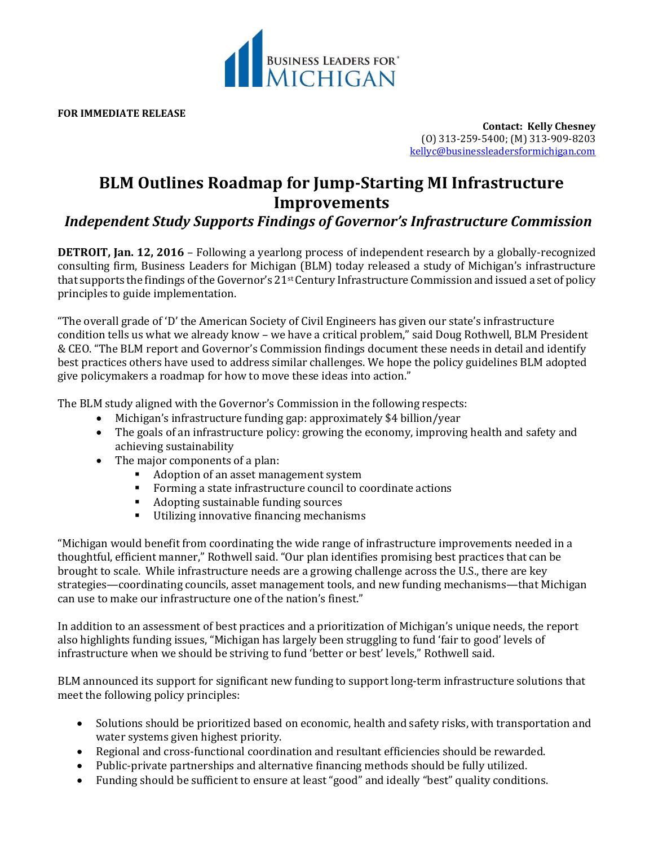

**FOR IMMEDIATE RELEASE**

**Contact: Kelly Chesney** (O) 313-259-5400; (M) 313-909-8203 [kellyc@businessleadersformichigan.com](mailto:kellyc@businessleadersformichigan.com)

## **BLM Outlines Roadmap for Jump-Starting MI Infrastructure Improvements**

## *Independent Study Supports Findings of Governor's Infrastructure Commission*

**DETROIT, Jan. 12, 2016** – Following a yearlong process of independent research by a globally-recognized consulting firm, Business Leaders for Michigan (BLM) today released a study of Michigan's infrastructure that supports the findings of the Governor's 21st Century Infrastructure Commission and issued a set of policy principles to guide implementation.

"The overall grade of 'D' the American Society of Civil Engineers has given our state's infrastructure condition tells us what we already know – we have a critical problem," said Doug Rothwell, BLM President & CEO. "The BLM report and Governor's Commission findings document these needs in detail and identify best practices others have used to address similar challenges. We hope the policy guidelines BLM adopted give policymakers a roadmap for how to move these ideas into action."

The BLM study aligned with the Governor's Commission in the following respects:

- Michigan's infrastructure funding gap: approximately \$4 billion/year
- The goals of an infrastructure policy: growing the economy, improving health and safety and achieving sustainability
- The major components of a plan:
	- Adoption of an asset management system
	- **Forming a state infrastructure council to coordinate actions**<br>• Adonting sustainable funding sources
	- Adopting sustainable funding sources
	- Utilizing innovative financing mechanisms

"Michigan would benefit from coordinating the wide range of infrastructure improvements needed in a thoughtful, efficient manner," Rothwell said. "Our plan identifies promising best practices that can be brought to scale. While infrastructure needs are a growing challenge across the U.S., there are key strategies—coordinating councils, asset management tools, and new funding mechanisms—that Michigan can use to make our infrastructure one of the nation's finest."

In addition to an assessment of best practices and a prioritization of Michigan's unique needs, the report also highlights funding issues, "Michigan has largely been struggling to fund 'fair to good' levels of infrastructure when we should be striving to fund 'better or best' levels," Rothwell said.

BLM announced its support for significant new funding to support long-term infrastructure solutions that meet the following policy principles:

- Solutions should be prioritized based on economic, health and safety risks, with transportation and water systems given highest priority.
- Regional and cross-functional coordination and resultant efficiencies should be rewarded.
- Public-private partnerships and alternative financing methods should be fully utilized.
- Funding should be sufficient to ensure at least "good" and ideally "best" quality conditions.